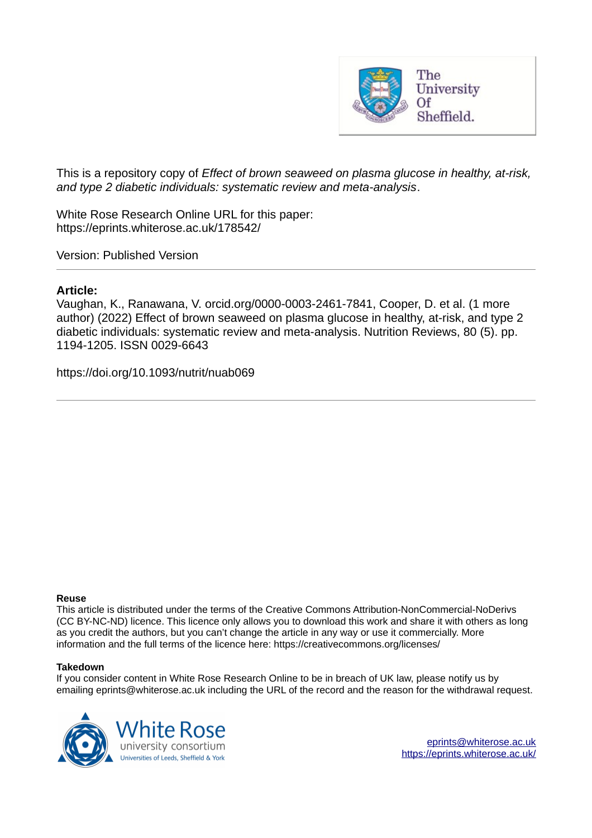

This is a repository copy of *Effect of brown seaweed on plasma glucose in healthy, at-risk, and type 2 diabetic individuals: systematic review and meta-analysis*.

White Rose Research Online URL for this paper: https://eprints.whiterose.ac.uk/178542/

Version: Published Version

# **Article:**

Vaughan, K., Ranawana, V. orcid.org/0000-0003-2461-7841, Cooper, D. et al. (1 more author) (2022) Effect of brown seaweed on plasma glucose in healthy, at-risk, and type 2 diabetic individuals: systematic review and meta-analysis. Nutrition Reviews, 80 (5). pp. 1194-1205. ISSN 0029-6643

https://doi.org/10.1093/nutrit/nuab069

# **Reuse**

This article is distributed under the terms of the Creative Commons Attribution-NonCommercial-NoDerivs (CC BY-NC-ND) licence. This licence only allows you to download this work and share it with others as long as you credit the authors, but you can't change the article in any way or use it commercially. More information and the full terms of the licence here: https://creativecommons.org/licenses/

# **Takedown**

If you consider content in White Rose Research Online to be in breach of UK law, please notify us by emailing eprints@whiterose.ac.uk including the URL of the record and the reason for the withdrawal request.



eprints@whiterose.ac.uk https://eprints.whiterose.ac.uk/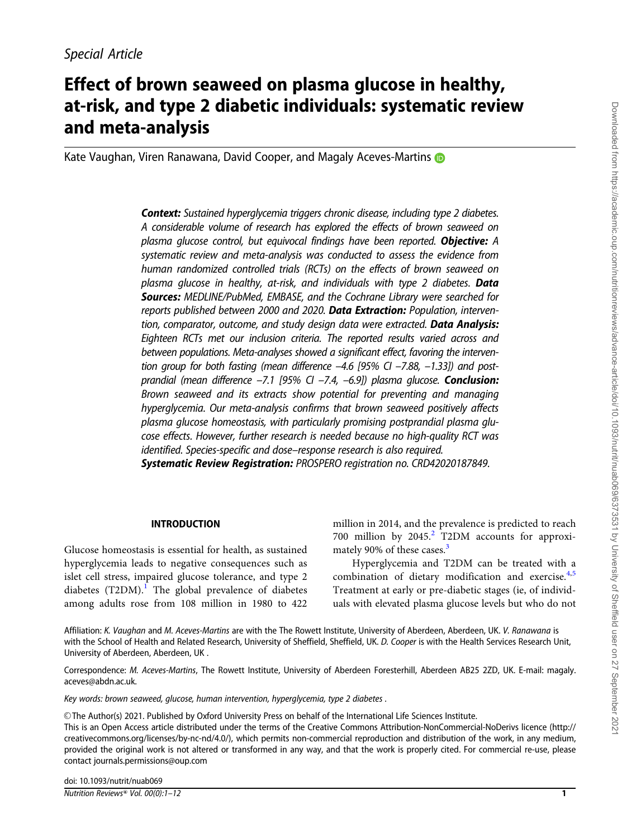# Effect of brown seaweed on plasma glucose in healthy, at-risk, and type 2 diabetic individuals: systematic review and meta-analysis

Kate Vaughan, Viren Ranawana, David Cooper, and Magaly Aceves-Martins

Context: *Sustained hyperglycemia triggers chronic disease, including type 2 diabetes. A considerable volume of research has explored the effects of brown seaweed on plasma glucose control, but equivocal findings have been reported.* Objective: *A systematic review and meta-analysis was conducted to assess the evidence from human randomized controlled trials (RCTs) on the effects of brown seaweed on plasma glucose in healthy, at-risk, and individuals with type 2 diabetes.* Data Sources: *MEDLINE/PubMed, EMBASE, and the Cochrane Library were searched for reports published between 2000 and 2020.* Data Extraction: *Population, intervention, comparator, outcome, and study design data were extracted.* Data Analysis: *Eighteen RCTs met our inclusion criteria. The reported results varied across and between populations. Meta-analyses showed a significant effect, favoring the intervention group for both fasting (mean difference –4.6 [95% CI –7.88, –1.33]) and postprandial (mean difference –7.1 [95% CI –7.4, –6.9]) plasma glucose.* Conclusion: *Brown seaweed and its extracts show potential for preventing and managing hyperglycemia. Our meta-analysis confirms that brown seaweed positively affects plasma glucose homeostasis, with particularly promising postprandial plasma glucose effects. However, further research is needed because no high-quality RCT was identified. Species-specific and dose–response research is also required.*

Systematic Review Registration: *PROSPERO registration no. CRD42020187849.*

# INTRODUCTION

Glucose homeostasis is essential for health, as sustained hyperglycemia leads to negative consequences such as islet cell stress, impaired glucose tolerance, and type 2 diabetes  $(T2DM)$ .<sup>I</sup> The global prevalence of diabetes among adults rose from 108 million in 1980 to 422 million in 2014, and the prevalence is predicted to reach 700 million by 2045.<sup>2</sup> T2DM accounts for approximately 90% of these cases.<sup>3</sup>

Hyperglycemia and T2DM can be treated with a combination of dietary modification and exercise.<sup>4,5</sup> Treatment at early or pre-diabetic stages (ie, of individuals with elevated plasma glucose levels but who do not

Affiliation: *K. Vaughan* and *M. Aceves-Martins* are with the The Rowett Institute, University of Aberdeen, Aberdeen, UK. *V. Ranawana* is with the School of Health and Related Research, University of Sheffield, Sheffield, UK. *D. Cooper* is with the Health Services Research Unit, University of Aberdeen, Aberdeen, UK .

Correspondence: *M. Aceves-Martins*, The Rowett Institute, University of Aberdeen Foresterhill, Aberdeen AB25 2ZD, UK. E-mail: magaly. aceves@abdn.ac.uk.

*Key words: brown seaweed, glucose, human intervention, hyperglycemia, type 2 diabetes .*

V<sup>C</sup> The Author(s) 2021. Published by Oxford University Press on behalf of the International Life Sciences Institute. This is an Open Access article distributed under the terms of the Creative Commons Attribution-NonCommercial-NoDerivs licence (http:// creativecommons.org/licenses/by-nc-nd/4.0/), which permits non-commercial reproduction and distribution of the work, in any medium, provided the original work is not altered or transformed in any way, and that the work is properly cited. For commercial re-use, please contact journals.permissions@oup.com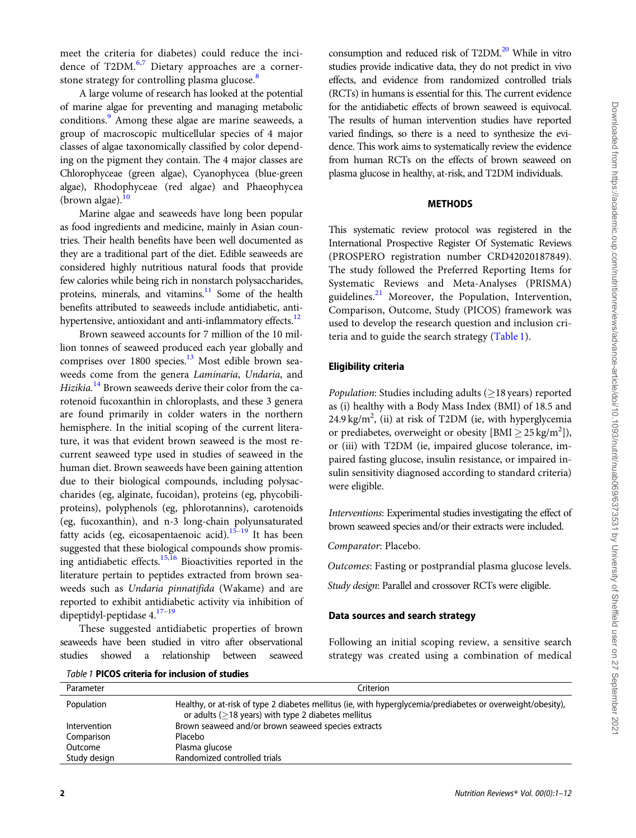meet the criteria for diabetes) could reduce the incidence of T2DM.<sup>6,7</sup> Dietary approaches are a cornerstone strategy for controlling plasma glucose.<sup>8</sup>

A large volume of research has looked at the potential of marine algae for preventing and managing metabolic conditions.<sup>9</sup> Among these algae are marine seaweeds, a group of macroscopic multicellular species of 4 major classes of algae taxonomically classified by color depending on the pigment they contain. The 4 major classes are Chlorophyceae (green algae), Cyanophycea (blue-green algae), Rhodophyceae (red algae) and Phaeophycea (brown algae). $10$ 

Marine algae and seaweeds have long been popular as food ingredients and medicine, mainly in Asian countries. Their health benefits have been well documented as they are a traditional part of the diet. Edible seaweeds are considered highly nutritious natural foods that provide few calories while being rich in nonstarch polysaccharides, proteins, minerals, and vitamins.<sup>11</sup> Some of the health benefits attributed to seaweeds include antidiabetic, antihypertensive, antioxidant and anti-inflammatory effects.<sup>12</sup>

Brown seaweed accounts for 7 million of the 10 million tonnes of seaweed produced each year globally and comprises over 1800 species.<sup>13</sup> Most edible brown seaweeds come from the genera Laminaria, Undaria, and Hizikia.<sup>14</sup> Brown seaweeds derive their color from the carotenoid fucoxanthin in chloroplasts, and these 3 genera are found primarily in colder waters in the northern hemisphere. In the initial scoping of the current literature, it was that evident brown seaweed is the most recurrent seaweed type used in studies of seaweed in the human diet. Brown seaweeds have been gaining attention due to their biological compounds, including polysaccharides (eg, alginate, fucoidan), proteins (eg, phycobiliproteins), polyphenols (eg, phlorotannins), carotenoids (eg, fucoxanthin), and n-3 long-chain polyunsaturated fatty acids (eg, eicosapentaenoic acid).<sup>15–19</sup> It has been suggested that these biological compounds show promising antidiabetic effects.15,16 Bioactivities reported in the literature pertain to peptides extracted from brown seaweeds such as Undaria pinnatifida (Wakame) and are reported to exhibit antidiabetic activity via inhibition of dipeptidyl-peptidase 4.17–19

These suggested antidiabetic properties of brown seaweeds have been studied in vitro after observational studies showed a relationship between seaweed

consumption and reduced risk of  $T2DM.<sup>20</sup>$  While in vitro studies provide indicative data, they do not predict in vivo effects, and evidence from randomized controlled trials (RCTs) in humans is essential for this. The current evidence for the antidiabetic effects of brown seaweed is equivocal. The results of human intervention studies have reported varied findings, so there is a need to synthesize the evidence. This work aims to systematically review the evidence from human RCTs on the effects of brown seaweed on plasma glucose in healthy, at-risk, and T2DM individuals.

## METHODS

This systematic review protocol was registered in the International Prospective Register Of Systematic Reviews (PROSPERO registration number CRD42020187849). The study followed the Preferred Reporting Items for Systematic Reviews and Meta-Analyses (PRISMA) guidelines.<sup>21</sup> Moreover, the Population, Intervention, Comparison, Outcome, Study (PICOS) framework was used to develop the research question and inclusion criteria and to guide the search strategy (Table 1).

# Eligibility criteria

Population: Studies including adults  $(\geq)18$  years) reported as (i) healthy with a Body Mass Index (BMI) of 18.5 and 24.9 kg/m<sup>2</sup>, (ii) at risk of T2DM (ie, with hyperglycemia or prediabetes, overweight or obesity  $[\text{BMI} \geq 25 \text{ kg/m}^2]$ ), or (iii) with T2DM (ie, impaired glucose tolerance, impaired fasting glucose, insulin resistance, or impaired insulin sensitivity diagnosed according to standard criteria) were eligible.

Interventions: Experimental studies investigating the effect of brown seaweed species and/or their extracts were included.

Comparator: Placebo.

Outcomes: Fasting or postprandial plasma glucose levels.

Study design: Parallel and crossover RCTs were eligible.

### Data sources and search strategy

Following an initial scoping review, a sensitive search strategy was created using a combination of medical

| Parameter    | Criterion                                                                                                                                                                 |
|--------------|---------------------------------------------------------------------------------------------------------------------------------------------------------------------------|
| Population   | Healthy, or at-risk of type 2 diabetes mellitus (ie, with hyperglycemia/prediabetes or overweight/obesity),<br>or adults ( $\geq$ 18 years) with type 2 diabetes mellitus |
| Intervention | Brown seaweed and/or brown seaweed species extracts                                                                                                                       |
| Comparison   | Placebo                                                                                                                                                                   |
| Outcome      | Plasma glucose                                                                                                                                                            |
| Study design | Randomized controlled trials                                                                                                                                              |
|              |                                                                                                                                                                           |

*Table 1* PICOS criteria for inclusion of studies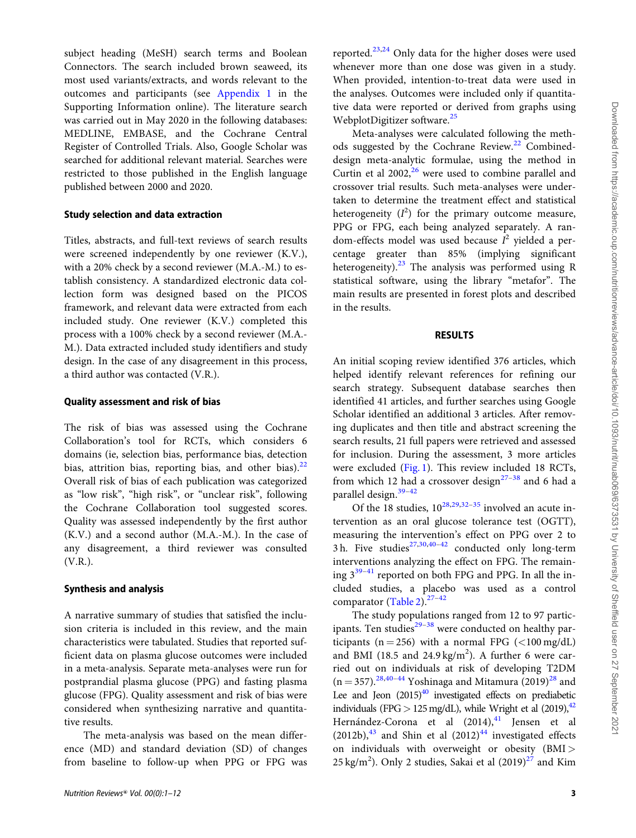subject heading (MeSH) search terms and Boolean Connectors. The search included brown seaweed, its most used variants/extracts, and words relevant to the outcomes and participants (see Appendix 1 in the Supporting Information online). The literature search was carried out in May 2020 in the following databases: MEDLINE, EMBASE, and the Cochrane Central Register of Controlled Trials. Also, Google Scholar was searched for additional relevant material. Searches were restricted to those published in the English language published between 2000 and 2020.

# Study selection and data extraction

Titles, abstracts, and full-text reviews of search results were screened independently by one reviewer (K.V.), with a 20% check by a second reviewer (M.A.-M.) to establish consistency. A standardized electronic data collection form was designed based on the PICOS framework, and relevant data were extracted from each included study. One reviewer (K.V.) completed this process with a 100% check by a second reviewer (M.A.- M.). Data extracted included study identifiers and study design. In the case of any disagreement in this process, a third author was contacted (V.R.).

### Quality assessment and risk of bias

The risk of bias was assessed using the Cochrane Collaboration's tool for RCTs, which considers 6 domains (ie, selection bias, performance bias, detection bias, attrition bias, reporting bias, and other bias). $22$ Overall risk of bias of each publication was categorized as "low risk", "high risk", or "unclear risk", following the Cochrane Collaboration tool suggested scores. Quality was assessed independently by the first author (K.V.) and a second author (M.A.-M.). In the case of any disagreement, a third reviewer was consulted (V.R.).

### Synthesis and analysis

A narrative summary of studies that satisfied the inclusion criteria is included in this review, and the main characteristics were tabulated. Studies that reported sufficient data on plasma glucose outcomes were included in a meta-analysis. Separate meta-analyses were run for postprandial plasma glucose (PPG) and fasting plasma glucose (FPG). Quality assessment and risk of bias were considered when synthesizing narrative and quantitative results.

The meta-analysis was based on the mean difference (MD) and standard deviation (SD) of changes from baseline to follow-up when PPG or FPG was reported.<sup>23,24</sup> Only data for the higher doses were used whenever more than one dose was given in a study. When provided, intention-to-treat data were used in the analyses. Outcomes were included only if quantitative data were reported or derived from graphs using WebplotDigitizer software.<sup>25</sup>

Meta-analyses were calculated following the methods suggested by the Cochrane Review.<sup>22</sup> Combineddesign meta-analytic formulae, using the method in Curtin et al  $2002$ , <sup>26</sup> were used to combine parallel and crossover trial results. Such meta-analyses were undertaken to determine the treatment effect and statistical heterogeneity  $(I^2)$  for the primary outcome measure, PPG or FPG, each being analyzed separately. A random-effects model was used because  $I^2$  yielded a percentage greater than 85% (implying significant heterogeneity). $23$  The analysis was performed using R statistical software, using the library "metafor". The main results are presented in forest plots and described in the results.

### RESULTS

An initial scoping review identified 376 articles, which helped identify relevant references for refining our search strategy. Subsequent database searches then identified 41 articles, and further searches using Google Scholar identified an additional 3 articles. After removing duplicates and then title and abstract screening the search results, 21 full papers were retrieved and assessed for inclusion. During the assessment, 3 more articles were excluded (Fig. 1). This review included 18 RCTs, from which 12 had a crossover design<sup>27–38</sup> and 6 had a parallel design.39–42

Of the 18 studies,  $10^{28,29,32-35}$  involved an acute intervention as an oral glucose tolerance test (OGTT), measuring the intervention's effect on PPG over 2 to 3 h. Five studies<sup>27,30,40-42</sup> conducted only long-term interventions analyzing the effect on FPG. The remaining  $3^{39-41}$  reported on both FPG and PPG. In all the included studies, a placebo was used as a control comparator (Table 2).<sup>27-42</sup>

The study populations ranged from 12 to 97 participants. Ten studies $^{29-38}$  were conducted on healthy participants ( $n = 256$ ) with a normal FPG ( $\langle 100 \text{ mg/dL} \rangle$ and BMI (18.5 and 24.9 kg/m<sup>2</sup>). A further 6 were carried out on individuals at risk of developing T2DM  $(n = 357).^{28,40-44}$  Yoshinaga and Mitamura  $(2019)^{28}$  and Lee and Jeon  $(2015)^{40}$  investigated effects on prediabetic individuals (FPG  $> 125 \text{ mg/dL}$ ), while Wright et al (2019),<sup>42</sup> Hernández-Corona et al (2014),<sup>41</sup> Jensen et al  $(2012b)$ ,<sup>43</sup> and Shin et al  $(2012)$ <sup>44</sup> investigated effects on individuals with overweight or obesity (BMI > 25 kg/m<sup>2</sup>). Only 2 studies, Sakai et al  $(2019)^{27}$  and Kim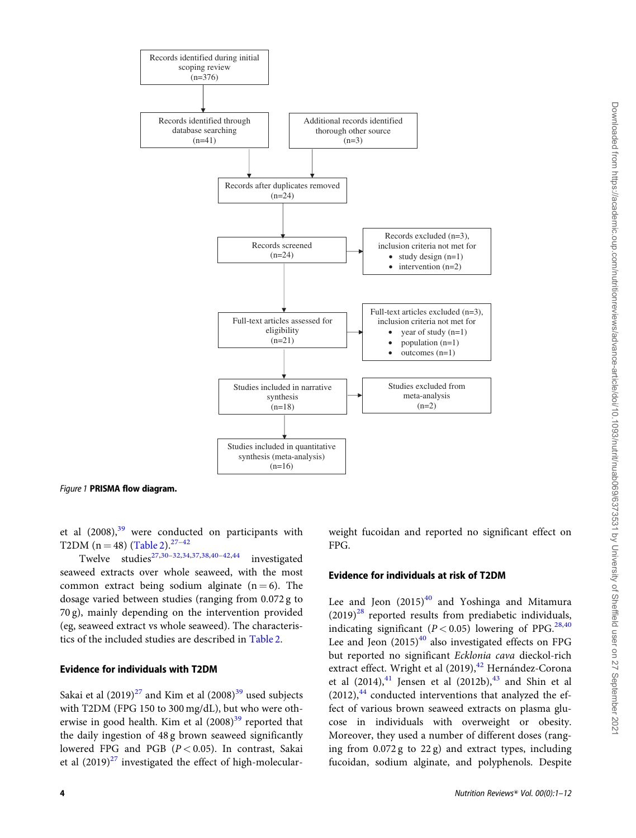

*Figure 1* PRISMA flow diagram.

et al (2008),<sup>39</sup> were conducted on participants with T2DM ( $n = 48$ ) (Table 2).<sup>27-42</sup>

Twelve studies<sup>27,30-32,34,37,38,40-42,44</sup> investigated seaweed extracts over whole seaweed, with the most common extract being sodium alginate  $(n = 6)$ . The dosage varied between studies (ranging from 0.072 g to 70 g), mainly depending on the intervention provided (eg, seaweed extract vs whole seaweed). The characteristics of the included studies are described in Table 2.

### Evidence for individuals with T2DM

Sakai et al  $(2019)^{27}$  and Kim et al  $(2008)^{39}$  used subjects with T2DM (FPG 150 to 300 mg/dL), but who were otherwise in good health. Kim et al  $(2008)^{39}$  reported that the daily ingestion of 48 g brown seaweed significantly lowered FPG and PGB  $(P < 0.05)$ . In contrast, Sakai et al  $(2019)^{27}$  investigated the effect of high-molecularweight fucoidan and reported no significant effect on FPG.

# Evidence for individuals at risk of T2DM

Lee and Jeon  $(2015)^{40}$  and Yoshinga and Mitamura  $(2019)^{28}$  reported results from prediabetic individuals, indicating significant ( $P < 0.05$ ) lowering of PPG.<sup>28,40</sup> Lee and Jeon  $(2015)^{40}$  also investigated effects on FPG but reported no significant Ecklonia cava dieckol-rich extract effect. Wright et al (2019), <sup>42</sup> Hernández-Corona et al  $(2014)$ ,<sup>41</sup> Jensen et al  $(2012b)$ ,<sup>43</sup> and Shin et al  $(2012)$ ,  $44$  conducted interventions that analyzed the effect of various brown seaweed extracts on plasma glucose in individuals with overweight or obesity. Moreover, they used a number of different doses (ranging from 0.072 g to 22 g) and extract types, including fucoidan, sodium alginate, and polyphenols. Despite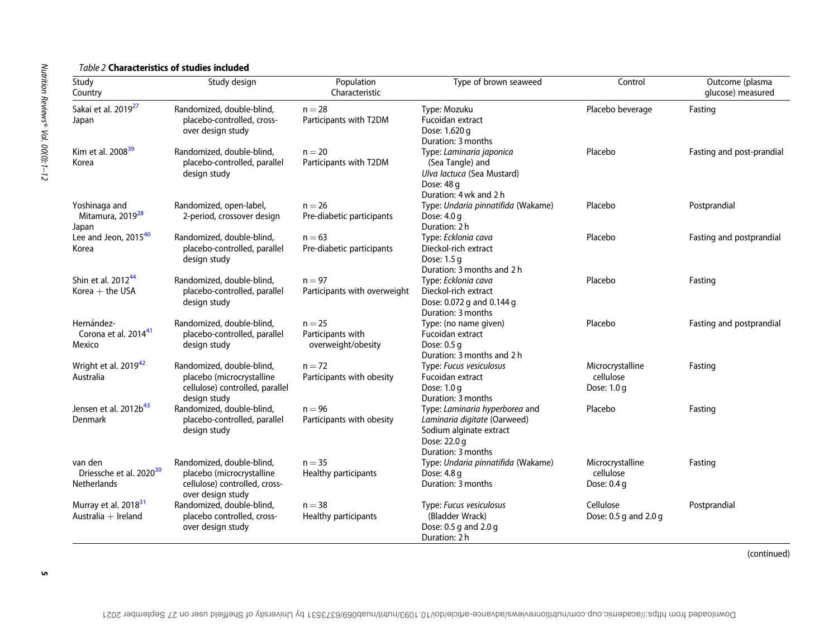# *Table 2* Characteristics of studies included

| Study<br>Country                                              | Study design                                                                                                 | Population<br>Characteristic                        | Type of brown seaweed                                                                                                                    | Control                                       | Outcome (plasma<br>glucose) measured |
|---------------------------------------------------------------|--------------------------------------------------------------------------------------------------------------|-----------------------------------------------------|------------------------------------------------------------------------------------------------------------------------------------------|-----------------------------------------------|--------------------------------------|
| Sakai et al. 2019 <sup>27</sup><br>Japan                      | Randomized, double-blind,<br>placebo-controlled, cross-<br>over design study                                 | $n = 28$<br>Participants with T2DM                  | Type: Mozuku<br>Fucoidan extract<br>Dose: 1.620 g                                                                                        | Placebo beverage                              | Fasting                              |
| Kim et al. 2008 <sup>39</sup><br>Korea                        | Randomized, double-blind,<br>placebo-controlled, parallel<br>design study                                    | $n = 20$<br>Participants with T2DM                  | Duration: 3 months<br>Type: Laminaria japonica<br>(Sea Tangle) and<br>Ulva lactuca (Sea Mustard)<br>Dose: 48 g<br>Duration: 4 wk and 2 h | Placebo                                       | Fasting and post-prandial            |
| Yoshinaga and<br>Mitamura, 2019 <sup>28</sup><br>Japan        | Randomized, open-label,<br>2-period, crossover design                                                        | $n = 26$<br>Pre-diabetic participants               | Type: Undaria pinnatifida (Wakame)<br>Dose: 4.0 g<br>Duration: 2 h                                                                       | Placebo                                       | Postprandial                         |
| Lee and Jeon, 2015 <sup>40</sup><br>Korea                     | Randomized, double-blind,<br>placebo-controlled, parallel<br>design study                                    | $n = 63$<br>Pre-diabetic participants               | Type: Ecklonia cava<br>Dieckol-rich extract<br>Dose: 1.5 g<br>Duration: 3 months and 2 h                                                 | Placebo                                       | Fasting and postprandial             |
| Shin et al. $2012^{44}$<br>Korea $+$ the USA                  | Randomized, double-blind,<br>placebo-controlled, parallel<br>design study                                    | $n = 97$<br>Participants with overweight            | Type: Ecklonia cava<br>Dieckol-rich extract<br>Dose: 0.072 g and 0.144 g<br>Duration: 3 months                                           | Placebo                                       | Fasting                              |
| Hernández-<br>Corona et al. 2014 <sup>41</sup><br>Mexico      | Randomized, double-blind,<br>placebo-controlled, parallel<br>design study                                    | $n = 25$<br>Participants with<br>overweight/obesity | Type: (no name given)<br>Fucoidan extract<br>Dose: 0.5 g<br>Duration: 3 months and 2 h                                                   | Placebo                                       | Fasting and postprandial             |
| Wright et al. 2019 <sup>42</sup><br>Australia                 | Randomized, double-blind,<br>placebo (microcrystalline<br>cellulose) controlled, parallel<br>design study    | $n = 72$<br>Participants with obesity               | Type: Fucus vesiculosus<br>Fucoidan extract<br>Dose: 1.0 g<br>Duration: 3 months                                                         | Microcrystalline<br>cellulose<br>Dose: $1.0q$ | Fasting                              |
| Jensen et al. 2012b <sup>43</sup><br>Denmark                  | Randomized, double-blind,<br>placebo-controlled, parallel<br>design study                                    | $n = 96$<br>Participants with obesity               | Type: Laminaria hyperborea and<br>Laminaria digitate (Oarweed)<br>Sodium alginate extract<br>Dose: 22.0 g<br>Duration: 3 months          | Placebo                                       | Fasting                              |
| van den<br>Driessche et al. 2020 <sup>30</sup><br>Netherlands | Randomized, double-blind,<br>placebo (microcrystalline<br>cellulose) controlled, cross-<br>over design study | $n = 35$<br>Healthy participants                    | Type: Undaria pinnatifida (Wakame)<br>Dose: 4.8 g<br>Duration: 3 months                                                                  | Microcrystalline<br>cellulose<br>Dose: 0.4 g  | Fasting                              |
| Murray et al. 2018 <sup>31</sup><br>Australia + Ireland       | Randomized, double-blind,<br>placebo controlled, cross-<br>over design study                                 | $n = 38$<br>Healthy participants                    | Type: Fucus vesiculosus<br>(Bladder Wrack)<br>Dose: 0.5 g and 2.0 g<br>Duration: 2 h                                                     | Cellulose<br>Dose: 0.5 g and 2.0 g            | Postprandial                         |

(continued)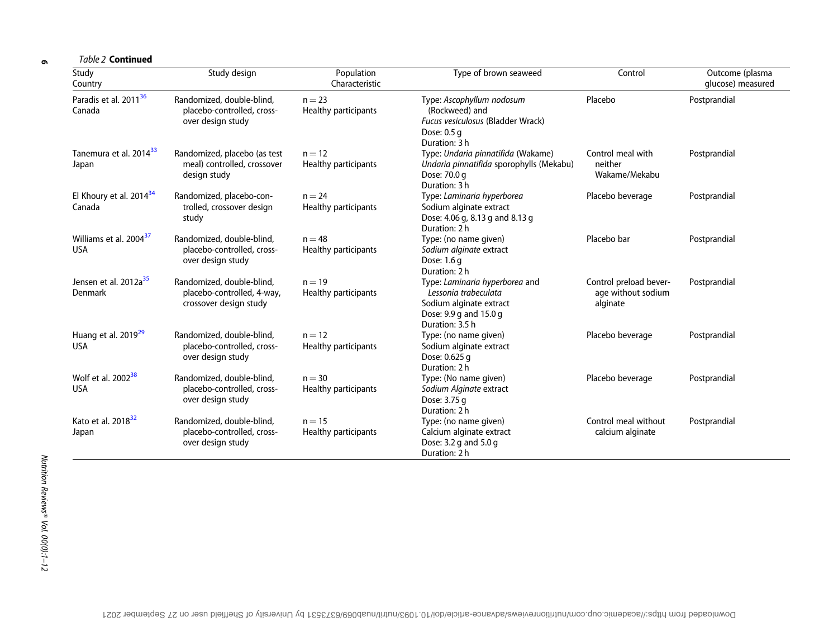6

*Table 2* Continued

| Study<br>Country                                 | Study design                                                                      | Population<br>Characteristic     | Type of brown seaweed                                                                                                          | Control                                                  | Outcome (plasma<br>glucose) measured |
|--------------------------------------------------|-----------------------------------------------------------------------------------|----------------------------------|--------------------------------------------------------------------------------------------------------------------------------|----------------------------------------------------------|--------------------------------------|
| Paradis et al. 2011 <sup>36</sup><br>Canada      | Randomized, double-blind,<br>placebo-controlled, cross-<br>over design study      | $n = 23$<br>Healthy participants | Type: Ascophyllum nodosum<br>(Rockweed) and<br>Fucus vesiculosus (Bladder Wrack)<br>Dose: 0.5 g<br>Duration: 3 h               | Placebo                                                  | Postprandial                         |
| Tanemura et al. 2014 <sup>33</sup><br>Japan      | Randomized, placebo (as test<br>meal) controlled, crossover<br>design study       | $n = 12$<br>Healthy participants | Type: Undaria pinnatifida (Wakame)<br>Undaria pinnatifida sporophylls (Mekabu)<br>Dose: 70.0 g<br>Duration: 3 h                | Control meal with<br>neither<br>Wakame/Mekabu            | Postprandial                         |
| El Khoury et al. 2014 <sup>34</sup><br>Canada    | Randomized, placebo-con-<br>trolled, crossover design<br>study                    | $n = 24$<br>Healthy participants | Type: Laminaria hyperborea<br>Sodium alginate extract<br>Dose: 4.06 g, 8.13 g and 8.13 g<br>Duration: 2 h                      | Placebo beverage                                         | Postprandial                         |
| Williams et al. 2004 <sup>37</sup><br><b>USA</b> | Randomized, double-blind,<br>placebo-controlled, cross-<br>over design study      | $n = 48$<br>Healthy participants | Type: (no name given)<br>Sodium alginate extract<br>Dose: 1.6 g<br>Duration: 2 h                                               | Placebo bar                                              | Postprandial                         |
| Jensen et al. 2012a <sup>35</sup><br>Denmark     | Randomized, double-blind,<br>placebo-controlled, 4-way,<br>crossover design study | $n = 19$<br>Healthy participants | Type: Laminaria hyperborea and<br>Lessonia trabeculata<br>Sodium alginate extract<br>Dose: 9.9 g and 15.0 g<br>Duration: 3.5 h | Control preload bever-<br>age without sodium<br>alginate | Postprandial                         |
| Huang et al. 2019 <sup>29</sup><br><b>USA</b>    | Randomized, double-blind,<br>placebo-controlled, cross-<br>over design study      | $n = 12$<br>Healthy participants | Type: (no name given)<br>Sodium alginate extract<br>Dose: 0.625 g<br>Duration: 2 h                                             | Placebo beverage                                         | Postprandial                         |
| Wolf et al. 2002 <sup>38</sup><br><b>USA</b>     | Randomized, double-blind,<br>placebo-controlled, cross-<br>over design study      | $n = 30$<br>Healthy participants | Type: (No name given)<br>Sodium Alginate extract<br>Dose: 3.75 g<br>Duration: 2 h                                              | Placebo beverage                                         | Postprandial                         |
| Kato et al. 2018 <sup>32</sup><br>Japan          | Randomized, double-blind,<br>placebo-controlled, cross-<br>over design study      | $n = 15$<br>Healthy participants | Type: (no name given)<br>Calcium alginate extract<br>Dose: 3.2 g and 5.0 g<br>Duration: 2 h                                    | Control meal without<br>calcium alginate                 | Postprandial                         |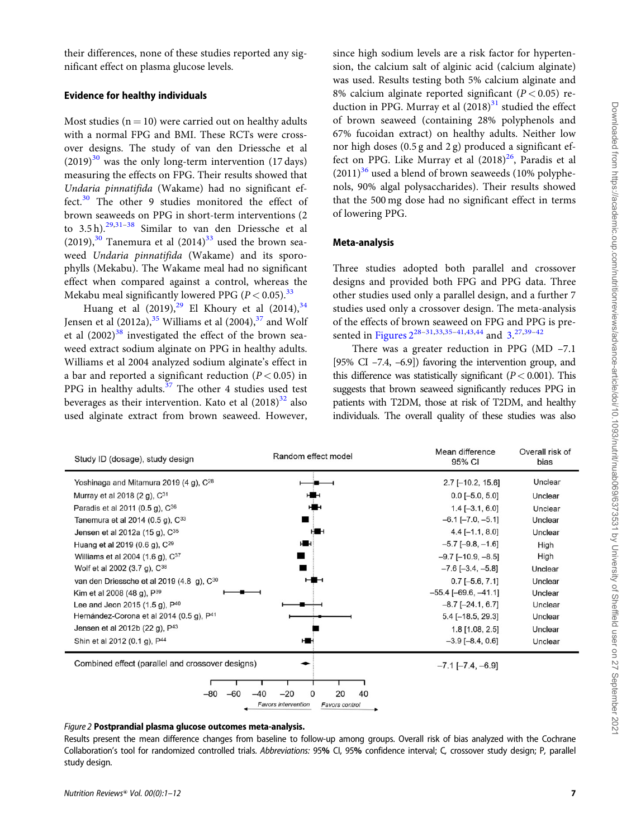their differences, none of these studies reported any significant effect on plasma glucose levels.

### Evidence for healthy individuals

Most studies ( $n = 10$ ) were carried out on healthy adults with a normal FPG and BMI. These RCTs were crossover designs. The study of van den Driessche et al  $(2019)^{30}$  was the only long-term intervention (17 days) measuring the effects on FPG. Their results showed that Undaria pinnatifida (Wakame) had no significant effect. $30$  The other 9 studies monitored the effect of brown seaweeds on PPG in short-term interventions (2 to 3.5 h).29,31–38 Similar to van den Driessche et al  $(2019)$ ,<sup>30</sup> Tanemura et al  $(2014)$ <sup>33</sup> used the brown seaweed Undaria pinnatifida (Wakame) and its sporophylls (Mekabu). The Wakame meal had no significant effect when compared against a control, whereas the Mekabu meal significantly lowered PPG ( $P < 0.05$ ).<sup>33</sup>

Huang et al  $(2019)$ ,<sup>29</sup> El Khoury et al  $(2014)$ ,<sup>34</sup> Jensen et al  $(2012a)$ ,<sup>35</sup> Williams et al  $(2004)$ ,<sup>37</sup> and Wolf et al  $(2002)^{38}$  investigated the effect of the brown seaweed extract sodium alginate on PPG in healthy adults. Williams et al 2004 analyzed sodium alginate's effect in a bar and reported a significant reduction ( $P < 0.05$ ) in PPG in healthy adults. $37$  The other 4 studies used test beverages as their intervention. Kato et al  $(2018)^{32}$  also used alginate extract from brown seaweed. However, since high sodium levels are a risk factor for hypertension, the calcium salt of alginic acid (calcium alginate) was used. Results testing both 5% calcium alginate and 8% calcium alginate reported significant ( $P < 0.05$ ) reduction in PPG. Murray et al  $(2018)^{31}$  studied the effect of brown seaweed (containing 28% polyphenols and 67% fucoidan extract) on healthy adults. Neither low nor high doses (0.5 g and 2 g) produced a significant effect on PPG. Like Murray et al  $(2018)^{26}$ , Paradis et al  $(2011)^{36}$  used a blend of brown seaweeds (10% polyphenols, 90% algal polysaccharides). Their results showed that the 500 mg dose had no significant effect in terms of lowering PPG.

# Meta-analysis

Three studies adopted both parallel and crossover designs and provided both FPG and PPG data. Three other studies used only a parallel design, and a further 7 studies used only a crossover design. The meta-analysis of the effects of brown seaweed on FPG and PPG is presented in Figures 2<sup>28–31,33,35–41,43,44</sup> and 3.<sup>27,39–42</sup>

There was a greater reduction in PPG (MD –7.1 [95% CI –7.4, –6.9]) favoring the intervention group, and this difference was statistically significant  $(P < 0.001)$ . This suggests that brown seaweed significantly reduces PPG in patients with T2DM, those at risk of T2DM, and healthy individuals. The overall quality of these studies was also

| Study ID (dosage), study design                       | Random effect model                          | Mean difference<br>95% CI  | Overall risk of<br>bias |
|-------------------------------------------------------|----------------------------------------------|----------------------------|-------------------------|
| Yoshinaga and Mitamura 2019 (4 g), C <sup>28</sup>    |                                              | $2.7$ [-10.2, 15.6]        | Unclear                 |
| Murray et al 2018 (2 g), C <sup>31</sup>              |                                              | $0.0$ [-5.0, 5.0]          | Unclear                 |
| Paradis et al 2011 (0.5 g), C <sup>36</sup>           |                                              | $1.4[-3.1, 6.0]$           | Unclear                 |
| Tanemura et al 2014 (0.5 g), C <sup>33</sup>          |                                              | $-6.1$ [ $-7.0, -5.1$ ]    | Unclear                 |
| Jensen et al 2012a (15 g), C <sup>35</sup>            |                                              | $4.4$ [-1.1, 8.0]          | Unclear                 |
| Huang et al 2019 (0.6 g), C <sup>29</sup>             |                                              | $-5.7$ [ $-9.8$ , $-1.6$ ] | High                    |
| Williams et al 2004 (1.6 g), C <sup>37</sup>          |                                              | $-9.7$ [ $-10.9, -8.5$ ]   | High                    |
| Wolf et al 2002 (3.7 g), C <sup>38</sup>              |                                              | $-7.6$ [ $-3.4, -5.8$ ]    | Unclear                 |
| van den Driessche et al 2019 (4.8 g), C <sup>30</sup> |                                              | $0.7[-5.6, 7.1]$           | Unclear                 |
| Kim et al 2008 (48 g), P <sup>39</sup>                |                                              | $-55.4[-69.6, -41.1]$      | Unclear                 |
| Lee and Jeon 2015 (1.5 g), P <sup>40</sup>            |                                              | $-8.7$ [ $-24.1, 6.7$ ]    | Unclear                 |
| Hernández-Corona et al 2014 (0.5 g), P <sup>41</sup>  |                                              | $5.4[-18.5, 29.3]$         | Unclear                 |
| Jensen et al 2012b (22 g), P <sup>43</sup>            |                                              | $1.8$ [1.08, 2.5]          | Unclear                 |
| Shin et al 2012 (0.1 g), P <sup>44</sup>              |                                              | $-3.9$ [ $-8.4$ , 0.6]     | Unclear                 |
| Combined effect (parallel and crossover designs)      |                                              | $-7.1$ [ $-7.4$ , $-6.9$ ] |                         |
|                                                       |                                              |                            |                         |
|                                                       | $-20$<br>0<br>20<br>40<br>-40                |                            |                         |
|                                                       | <b>Favors intervention</b><br>Favors control |                            |                         |

## *Figure 2* Postprandial plasma glucose outcomes meta-analysis.

Results present the mean difference changes from baseline to follow-up among groups. Overall risk of bias analyzed with the Cochrane Collaboration's tool for randomized controlled trials. *Abbreviations:* 95% CI, 95% confidence interval; C*,* crossover study design; P*,* parallel study design.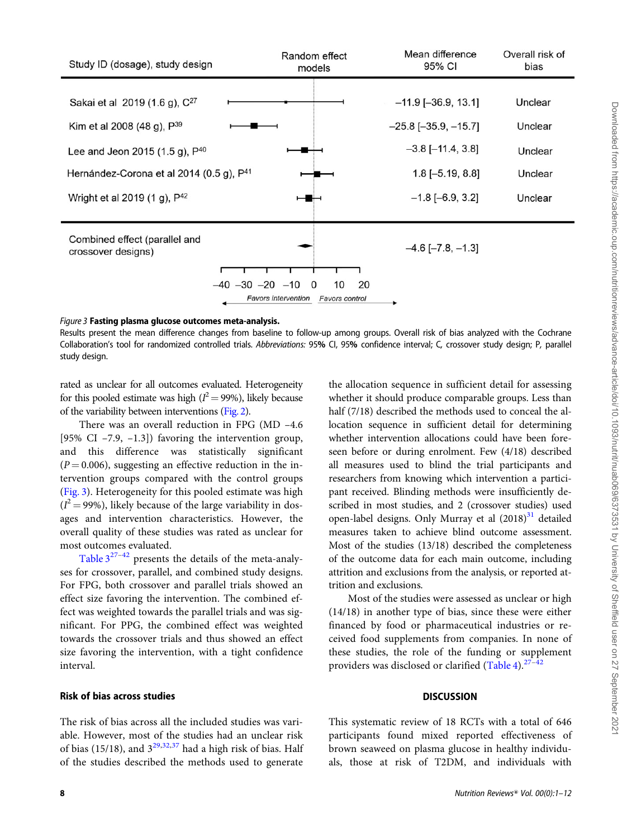### *Figure 3* Fasting plasma glucose outcomes meta-analysis.

Results present the mean difference changes from baseline to follow-up among groups. Overall risk of bias analyzed with the Cochrane Collaboration's tool for randomized controlled trials. *Abbreviations:* 95% CI, 95% confidence interval; C*,* crossover study design; P*,* parallel study design.

rated as unclear for all outcomes evaluated. Heterogeneity for this pooled estimate was high ( $l^2 = 99\%$ ), likely because of the variability between interventions (Fig. 2).

There was an overall reduction in FPG (MD –4.6 [95% CI –7.9, –1.3]) favoring the intervention group, and this difference was statistically significant  $(P = 0.006)$ , suggesting an effective reduction in the intervention groups compared with the control groups (Fig. 3). Heterogeneity for this pooled estimate was high  $(I^2 = 99\%)$ , likely because of the large variability in dosages and intervention characteristics. However, the overall quality of these studies was rated as unclear for most outcomes evaluated.

Table  $3^{27-42}$  presents the details of the meta-analyses for crossover, parallel, and combined study designs. For FPG, both crossover and parallel trials showed an effect size favoring the intervention. The combined effect was weighted towards the parallel trials and was significant. For PPG, the combined effect was weighted towards the crossover trials and thus showed an effect size favoring the intervention, with a tight confidence interval.

### Risk of bias across studies

The risk of bias across all the included studies was variable. However, most of the studies had an unclear risk of bias (15/18), and  $3^{29,32,37}$  had a high risk of bias. Half of the studies described the methods used to generate

the allocation sequence in sufficient detail for assessing whether it should produce comparable groups. Less than half (7/18) described the methods used to conceal the allocation sequence in sufficient detail for determining whether intervention allocations could have been foreseen before or during enrolment. Few (4/18) described all measures used to blind the trial participants and researchers from knowing which intervention a participant received. Blinding methods were insufficiently described in most studies, and 2 (crossover studies) used open-label designs. Only Murray et al (2018)<sup>31</sup> detailed measures taken to achieve blind outcome assessment. Most of the studies (13/18) described the completeness of the outcome data for each main outcome, including attrition and exclusions from the analysis, or reported attrition and exclusions.

Most of the studies were assessed as unclear or high (14/18) in another type of bias, since these were either financed by food or pharmaceutical industries or received food supplements from companies. In none of these studies, the role of the funding or supplement providers was disclosed or clarified (Table 4). $27-42$ 

### **DISCUSSION**

This systematic review of 18 RCTs with a total of 646 participants found mixed reported effectiveness of brown seaweed on plasma glucose in healthy individuals, those at risk of T2DM, and individuals with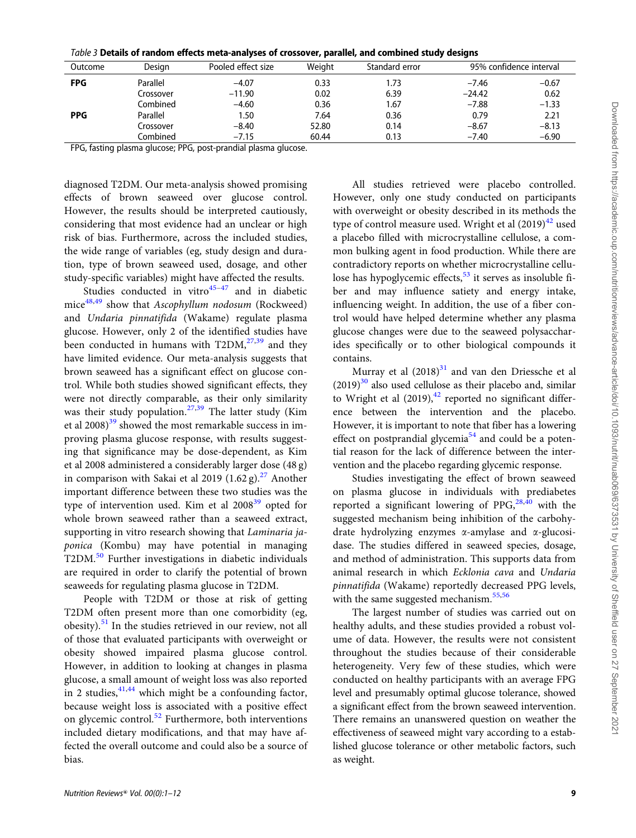|  |  |  |  |  |  |  | $\it Table$ 3 Details of random effects meta-analyses of crossover, parallel, and combined study designs |
|--|--|--|--|--|--|--|----------------------------------------------------------------------------------------------------------|
|--|--|--|--|--|--|--|----------------------------------------------------------------------------------------------------------|

| Outcome    | Design    | Pooled effect size | Weiaht | Standard error |          | 95% confidence interval |
|------------|-----------|--------------------|--------|----------------|----------|-------------------------|
| <b>FPG</b> | Parallel  | $-4.07$            | 0.33   | 1.73           | $-7.46$  | $-0.67$                 |
|            | Crossover | $-11.90$           | 0.02   | 6.39           | $-24.42$ | 0.62                    |
|            | Combined  | $-4.60$            | 0.36   | 1.67           | $-7.88$  | $-1.33$                 |
| <b>PPG</b> | Parallel  | 1.50               | 7.64   | 0.36           | 0.79     | 2.21                    |
|            | Crossover | $-8.40$            | 52.80  | 0.14           | $-8.67$  | $-8.13$                 |
|            | Combined  | $-7.15$            | 60.44  | 0.13           | $-7.40$  | $-6.90$                 |

FPG, fasting plasma glucose; PPG, post-prandial plasma glucose.

diagnosed T2DM. Our meta-analysis showed promising effects of brown seaweed over glucose control. However, the results should be interpreted cautiously, considering that most evidence had an unclear or high risk of bias. Furthermore, across the included studies, the wide range of variables (eg, study design and duration, type of brown seaweed used, dosage, and other study-specific variables) might have affected the results.

Studies conducted in vitro $45-47$  and in diabetic mice $48,49$  show that Ascophyllum nodosum (Rockweed) and Undaria pinnatifida (Wakame) regulate plasma glucose. However, only 2 of the identified studies have been conducted in humans with  $T2DM<sub>1</sub><sup>27,39</sup>$  and they have limited evidence. Our meta-analysis suggests that brown seaweed has a significant effect on glucose control. While both studies showed significant effects, they were not directly comparable, as their only similarity was their study population.<sup>27,39</sup> The latter study (Kim et al  $2008$ <sup>39</sup> showed the most remarkable success in improving plasma glucose response, with results suggesting that significance may be dose-dependent, as Kim et al 2008 administered a considerably larger dose (48 g) in comparison with Sakai et al 2019  $(1.62 \text{ g})$ .<sup>27</sup> Another important difference between these two studies was the type of intervention used. Kim et al  $2008<sup>39</sup>$  opted for whole brown seaweed rather than a seaweed extract, supporting in vitro research showing that Laminaria japonica (Kombu) may have potential in managing T2DM.<sup>50</sup> Further investigations in diabetic individuals are required in order to clarify the potential of brown seaweeds for regulating plasma glucose in T2DM.

People with T2DM or those at risk of getting T2DM often present more than one comorbidity (eg, obesity).<sup>51</sup> In the studies retrieved in our review, not all of those that evaluated participants with overweight or obesity showed impaired plasma glucose control. However, in addition to looking at changes in plasma glucose, a small amount of weight loss was also reported in 2 studies,  $41,44$  which might be a confounding factor, because weight loss is associated with a positive effect on glycemic control.<sup>52</sup> Furthermore, both interventions included dietary modifications, and that may have affected the overall outcome and could also be a source of bias.

All studies retrieved were placebo controlled. However, only one study conducted on participants with overweight or obesity described in its methods the type of control measure used. Wright et al  $(2019)^{42}$  used a placebo filled with microcrystalline cellulose, a common bulking agent in food production. While there are contradictory reports on whether microcrystalline cellulose has hypoglycemic effects,<sup>53</sup> it serves as insoluble fiber and may influence satiety and energy intake, influencing weight. In addition, the use of a fiber control would have helped determine whether any plasma glucose changes were due to the seaweed polysaccharides specifically or to other biological compounds it contains.

Murray et al  $(2018)^{31}$  and van den Driessche et al  $(2019)^{30}$  also used cellulose as their placebo and, similar to Wright et al  $(2019)$ ,<sup>42</sup> reported no significant difference between the intervention and the placebo. However, it is important to note that fiber has a lowering effect on postprandial glycemia<sup>54</sup> and could be a potential reason for the lack of difference between the intervention and the placebo regarding glycemic response.

Studies investigating the effect of brown seaweed on plasma glucose in individuals with prediabetes reported a significant lowering of PPG,  $^{28,40}$  with the suggested mechanism being inhibition of the carbohydrate hydrolyzing enzymes a-amylase and a-glucosidase. The studies differed in seaweed species, dosage, and method of administration. This supports data from animal research in which Ecklonia cava and Undaria pinnatifida (Wakame) reportedly decreased PPG levels, with the same suggested mechanism. $55,56$ 

The largest number of studies was carried out on healthy adults, and these studies provided a robust volume of data. However, the results were not consistent throughout the studies because of their considerable heterogeneity. Very few of these studies, which were conducted on healthy participants with an average FPG level and presumably optimal glucose tolerance, showed a significant effect from the brown seaweed intervention. There remains an unanswered question on weather the effectiveness of seaweed might vary according to a established glucose tolerance or other metabolic factors, such as weight.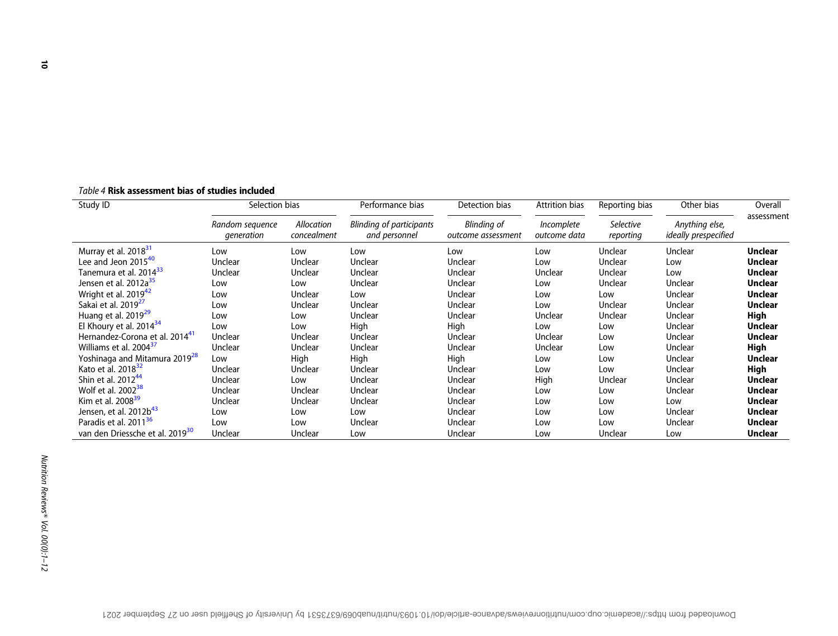| Table 4 Risk assessment bias of studies included |
|--------------------------------------------------|
|--------------------------------------------------|

| Study ID                                    | Selection bias                |                           | Performance bias                                 | Detection bias                           | <b>Attrition bias</b>             | Reporting bias                | Other bias                                    | Overall        |
|---------------------------------------------|-------------------------------|---------------------------|--------------------------------------------------|------------------------------------------|-----------------------------------|-------------------------------|-----------------------------------------------|----------------|
|                                             | Random sequence<br>generation | Allocation<br>concealment | <b>Blinding of participants</b><br>and personnel | <b>Blinding of</b><br>outcome assessment | <i>Incomplete</i><br>outcome data | <b>Selective</b><br>reporting | Anything else,<br><i>ideally prespecified</i> | assessment     |
| Murray et al. 2018 <sup>31</sup>            | Low                           | Low                       | Low                                              | Low                                      | Low                               | Unclear                       | Unclear                                       | <b>Unclear</b> |
| Lee and Jeon 2015 <sup>40</sup>             | Unclear                       | Unclear                   | Unclear                                          | Unclear                                  | Low                               | Unclear                       | Low                                           | <b>Unclear</b> |
| Tanemura et al. 2014 <sup>33</sup>          | Unclear                       | Unclear                   | Unclear                                          | Unclear                                  | <b>Unclear</b>                    | Unclear                       | Low                                           | <b>Unclear</b> |
| Jensen et al. 2012a <sup>35</sup>           | Low                           | Low                       | Unclear                                          | Unclear                                  | Low                               | Unclear                       | Unclear                                       | <b>Unclear</b> |
| Wright et al. 2019 <sup>42</sup>            | Low                           | Unclear                   | Low                                              | Unclear                                  | Low                               | Low                           | Unclear                                       | <b>Unclear</b> |
| Sakai et al. 2019 <sup>27</sup>             | Low                           | Unclear                   | Unclear                                          | Unclear                                  | Low                               | Unclear                       | Unclear                                       | <b>Unclear</b> |
| Huang et al. $2019^{29}$                    | Low                           | Low                       | Unclear                                          | Unclear                                  | <b>Unclear</b>                    | Unclear                       | Unclear                                       | High           |
| El Khoury et al. $2014^{34}$                | Low                           | Low                       | High                                             | High                                     | Low                               | Low                           | Unclear                                       | <b>Unclear</b> |
| Hernandez-Corona et al. 2014 <sup>41</sup>  | Unclear                       | Unclear                   | Unclear                                          | Unclear                                  | <b>Unclear</b>                    | Low                           | Unclear                                       | <b>Unclear</b> |
| Williams et al. 2004 <sup>37</sup>          | Unclear                       | Unclear                   | Unclear                                          | Unclear                                  | Unclear                           | Low                           | Unclear                                       | High           |
| Yoshinaga and Mitamura 2019 <sup>28</sup>   | Low                           | High                      | High                                             | High                                     | Low                               | Low                           | Unclear                                       | <b>Unclear</b> |
| Kato et al. 2018 <sup>32</sup>              | Unclear                       | Unclear                   | Unclear                                          | Unclear                                  | Low                               | Low                           | Unclear                                       | High           |
| Shin et al. $2012^{44}$                     | Unclear                       | Low                       | Unclear                                          | Unclear                                  | High                              | Unclear                       | Unclear                                       | <b>Unclear</b> |
| Wolf et al. 2002 <sup>38</sup>              | Unclear                       | Unclear                   | Unclear                                          | Unclear                                  | Low                               | Low                           | Unclear                                       | <b>Unclear</b> |
| Kim et al. 2008 <sup>39</sup>               | Unclear                       | Unclear                   | Unclear                                          | Unclear                                  | Low                               | Low                           | Low                                           | <b>Unclear</b> |
| Jensen, et al. 2012b <sup>43</sup>          | Low                           | Low                       | Low                                              | Unclear                                  | Low                               | Low                           | Unclear                                       | <b>Unclear</b> |
| Paradis et al. 2011 <sup>36</sup>           | Low                           | Low                       | Unclear                                          | Unclear                                  | Low                               | Low                           | Unclear                                       | <b>Unclear</b> |
| van den Driessche et al. 2019 <sup>30</sup> | Unclear                       | Unclear                   | Low                                              | Unclear                                  | Low                               | Unclear                       | Low                                           | <b>Unclear</b> |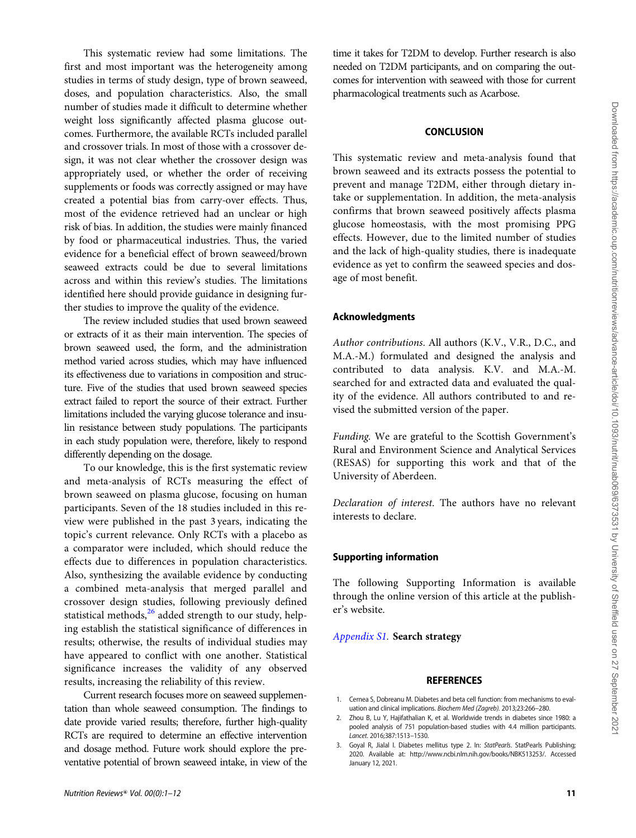This systematic review had some limitations. The first and most important was the heterogeneity among studies in terms of study design, type of brown seaweed, doses, and population characteristics. Also, the small number of studies made it difficult to determine whether weight loss significantly affected plasma glucose outcomes. Furthermore, the available RCTs included parallel and crossover trials. In most of those with a crossover design, it was not clear whether the crossover design was appropriately used, or whether the order of receiving supplements or foods was correctly assigned or may have created a potential bias from carry-over effects. Thus, most of the evidence retrieved had an unclear or high risk of bias. In addition, the studies were mainly financed by food or pharmaceutical industries. Thus, the varied evidence for a beneficial effect of brown seaweed/brown seaweed extracts could be due to several limitations across and within this review's studies. The limitations identified here should provide guidance in designing further studies to improve the quality of the evidence.

The review included studies that used brown seaweed or extracts of it as their main intervention. The species of brown seaweed used, the form, and the administration method varied across studies, which may have influenced its effectiveness due to variations in composition and structure. Five of the studies that used brown seaweed species extract failed to report the source of their extract. Further limitations included the varying glucose tolerance and insulin resistance between study populations. The participants in each study population were, therefore, likely to respond differently depending on the dosage.

To our knowledge, this is the first systematic review and meta-analysis of RCTs measuring the effect of brown seaweed on plasma glucose, focusing on human participants. Seven of the 18 studies included in this review were published in the past 3 years, indicating the topic's current relevance. Only RCTs with a placebo as a comparator were included, which should reduce the effects due to differences in population characteristics. Also, synthesizing the available evidence by conducting a combined meta-analysis that merged parallel and crossover design studies, following previously defined statistical methods, $26$  added strength to our study, helping establish the statistical significance of differences in results; otherwise, the results of individual studies may have appeared to conflict with one another. Statistical significance increases the validity of any observed results, increasing the reliability of this review.

Current research focuses more on seaweed supplementation than whole seaweed consumption. The findings to date provide varied results; therefore, further high-quality RCTs are required to determine an effective intervention and dosage method. Future work should explore the preventative potential of brown seaweed intake, in view of the

time it takes for T2DM to develop. Further research is also needed on T2DM participants, and on comparing the outcomes for intervention with seaweed with those for current pharmacological treatments such as Acarbose.

### **CONCLUSION**

This systematic review and meta-analysis found that brown seaweed and its extracts possess the potential to prevent and manage T2DM, either through dietary intake or supplementation. In addition, the meta-analysis confirms that brown seaweed positively affects plasma glucose homeostasis, with the most promising PPG effects. However, due to the limited number of studies and the lack of high-quality studies, there is inadequate evidence as yet to confirm the seaweed species and dosage of most benefit.

# Acknowledgments

Author contributions. All authors (K.V., V.R., D.C., and M.A.-M.) formulated and designed the analysis and contributed to data analysis. K.V. and M.A.-M. searched for and extracted data and evaluated the quality of the evidence. All authors contributed to and revised the submitted version of the paper.

Funding. We are grateful to the Scottish Government's Rural and Environment Science and Analytical Services (RESAS) for supporting this work and that of the University of Aberdeen.

Declaration of interest. The authors have no relevant interests to declare.

### Supporting information

The following Supporting Information is available through the online version of this article at the publisher's website.

### Appendix S1. Search strategy

### **REFERENCES**

- 1. Cernea S, Dobreanu M. Diabetes and beta cell function: from mechanisms to evaluation and clinical implications. *Biochem Med (Zagreb).* 2013;23:266–280.
- 2. Zhou B, Lu Y, Hajifathalian K, et al. Worldwide trends in diabetes since 1980: a pooled analysis of 751 population-based studies with 4.4 million participants. *Lancet*. 2016;387:1513–1530.
- 3. Goyal R, Jialal I. Diabetes mellitus type 2. In: *StatPearls*. StatPearls Publishing; 2020. Available at: http://www.ncbi.nlm.nih.gov/books/NBK513253/. Accessed January 12, 2021.